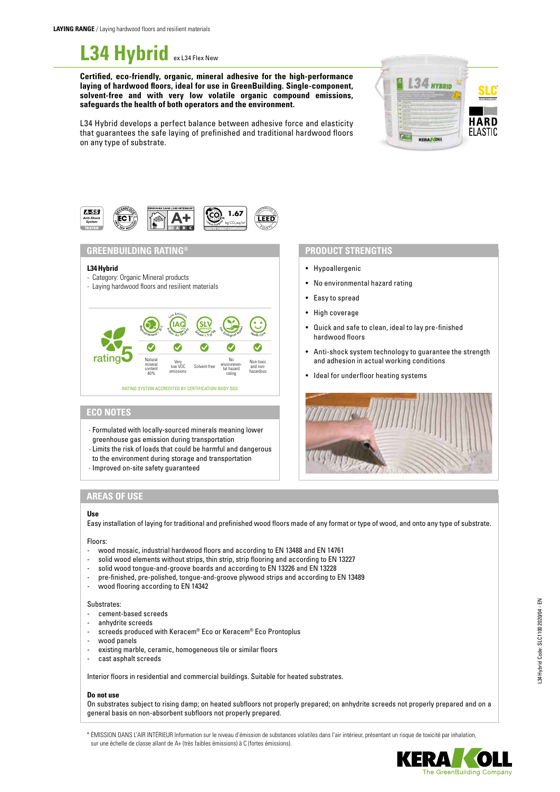# L34 Hybrid **ex L34 Flex New**

**Certified, eco-friendly, organic, mineral adhesive for the high-performance laying of hardwood floors, ideal for use in GreenBuilding. Single-component, solvent-free and with very low volatile organic compound emissions, safeguards the health of both operators and the environment.**



L34 Hybrid develops a perfect balance between adhesive force and elasticity that guarantees the safe laying of prefinished and traditional hardwood floors on any type of substrate.



# **GREENBUILDING RATING® PRODUCT STRENGTHS**

### **L34Hybrid**

- Category: Organic Mineral products
- Laying hardwood floors and resilient materials



# **ECO NOTES**

- Formulated with locally-sourced minerals meaning lower greenhouse gas emission during transportation
- Limits the risk of loads that could be harmful and dangerous
- to the environment during storage and transportation
- Improved on-site safety guaranteed

- Hypoallergenic
- No environmental hazard rating
- Easy to spread
- High coverage
- Quick and safe to clean, ideal to lay pre-finished hardwood floors
- Anti-shock system technology to guarantee the strength and adhesion in actual working conditions
- Ideal for underfloor heating systems



# **AREAS OF USE**

#### **Use**

Easy installation of laying for traditional and prefinished wood floors made of any format or type of wood, and onto any type of substrate.

### Floors:

- wood mosaic, industrial hardwood floors and according to EN 13488 and EN 14761
- solid wood elements without strips, thin strip, strip flooring and according to EN 13227
- solid wood tongue-and-groove boards and according to EN 13226 and EN 13228
- pre-finished, pre-polished, tongue-and-groove plywood strips and according to EN 13489
- wood flooring according to EN 14342

#### Substrates:

- cement-based screeds
- anhydrite screeds
- screeds produced with Keracem® Eco or Keracem® Eco Prontoplus
- wood panels
- existing marble, ceramic, homogeneous tile or similar floors
- cast asphalt screeds

Interior floors in residential and commercial buildings. Suitable for heated substrates.

# **Do not use**

On substrates subject to rising damp; on heated subfloors not properly prepared; on anhydrite screeds not properly prepared and on a general basis on non-absorbent subfloors not properly prepared.

\* ÉMISSION DANS L'AIR INTÉRIEUR Information sur le niveau d'émission de substances volatiles dans l'air intérieur, présentant un risque de toxicité par inhalation, sur une échelle de classe allant de A+ (très faibles émissions) à C (fortes émissions).

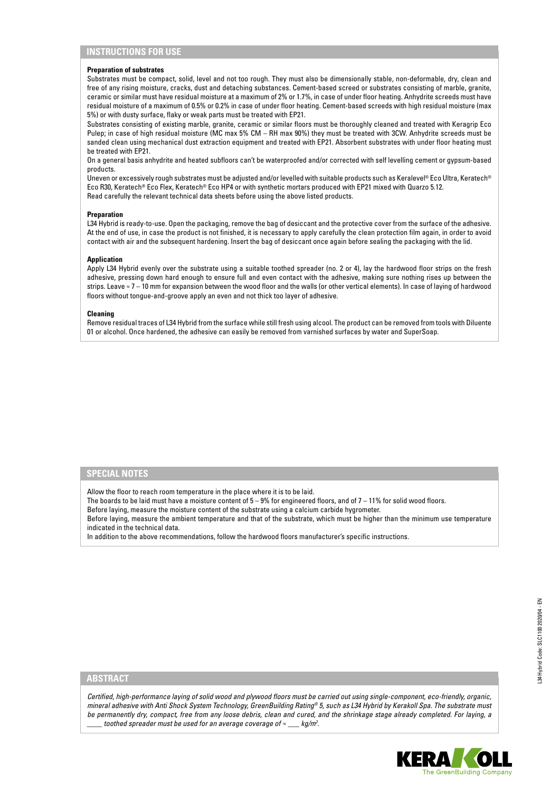# **INSTRUCTIONS FOR USE**

#### **Preparation of substrates**

Substrates must be compact, solid, level and not too rough. They must also be dimensionally stable, non-deformable, dry, clean and free of any rising moisture, cracks, dust and detaching substances. Cement-based screed or substrates consisting of marble, granite, ceramic or similar must have residual moisture at a maximum of 2% or 1.7%, in case of under floor heating. Anhydrite screeds must have residual moisture of a maximum of 0.5% or 0.2% in case of under floor heating. Cement-based screeds with high residual moisture (max 5%) or with dusty surface, flaky or weak parts must be treated with EP21.

Substrates consisting of existing marble, granite, ceramic or similar floors must be thoroughly cleaned and treated with Keragrip Eco Pulep; in case of high residual moisture (MC max 5% CM – RH max 90%) they must be treated with 3CW. Anhydrite screeds must be sanded clean using mechanical dust extraction equipment and treated with EP21. Absorbent substrates with under floor heating must be treated with EP21.

On a general basis anhydrite and heated subfloors can't be waterproofed and/or corrected with self levelling cement or gypsum-based products.

Uneven or excessively rough substrates must be adjusted and/or levelled with suitable products such as Keralevel® Eco Ultra, Keratech® Eco R30, Keratech® Eco Flex, Keratech® Eco HP4 or with synthetic mortars produced with EP21 mixed with Quarzo 5.12. Read carefully the relevant technical data sheets before using the above listed products.

#### **Preparation**

L34 Hybrid is ready-to-use. Open the packaging, remove the bag of desiccant and the protective cover from the surface of the adhesive. At the end of use, in case the product is not finished, it is necessary to apply carefully the clean protection film again, in order to avoid contact with air and the subsequent hardening. Insert the bag of desiccant once again before sealing the packaging with the lid.

# **Application**

Apply L34 Hybrid evenly over the substrate using a suitable toothed spreader (no. 2 or 4), lay the hardwood floor strips on the fresh adhesive, pressing down hard enough to ensure full and even contact with the adhesive, making sure nothing rises up between the strips. Leave ≈ 7 – 10 mm for expansion between the wood floor and the walls (or other vertical elements). In case of laying of hardwood floors without tongue-and-groove apply an even and not thick too layer of adhesive.

#### **Cleaning**

Remove residual traces of L34 Hybrid from the surface while still fresh using alcool. The product can be removed from tools with Diluente 01 or alcohol. Once hardened, the adhesive can easily be removed from varnished surfaces by water and SuperSoap.

#### **SPECIAL NOTES**

Allow the floor to reach room temperature in the place where it is to be laid.

The boards to be laid must have a moisture content of  $5 - 9%$  for engineered floors, and of  $7 - 11%$  for solid wood floors.

Before laying, measure the moisture content of the substrate using a calcium carbide hygrometer.

Before laying, measure the ambient temperature and that of the substrate, which must be higher than the minimum use temperature indicated in the technical data.

In addition to the above recommendations, follow the hardwood floors manufacturer's specific instructions.

# **ABSTRACT**

*Certified, high-performance laying of solid wood and plywood floors must be carried out using single-component, eco-friendly, organic, mineral adhesive with Anti Shock System Technology, GreenBuilding Rating® 5, such as L34 Hybrid by Kerakoll Spa. The substrate must be permanently dry, compact, free from any loose debris, clean and cured, and the shrinkage stage already completed. For laying, a \_\_\_\_ toothed spreader must be used for an average coverage of ≈ \_\_\_ kg/m2 .*